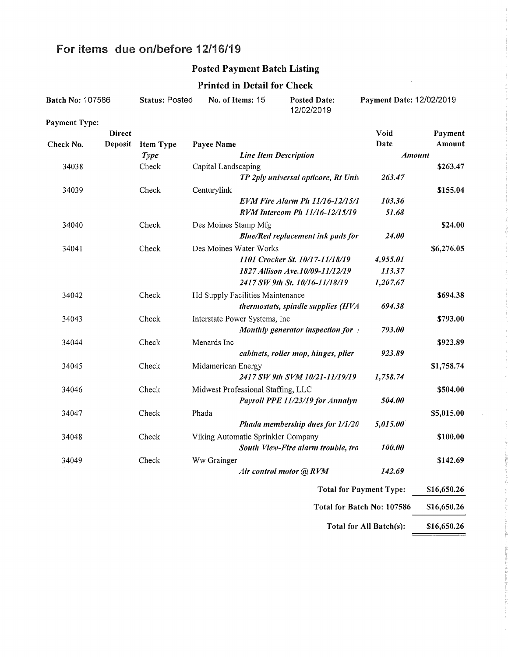# For items due on/before 12/16/19

### Posted Payment Batch Listing

 $\ddot{\phantom{a}}$ 

### Printed in Detail for Check

| Batch No: 107586        |                            | <b>Status: Posted</b> |                                    | No. of Items: 15             | <b>Posted Date:</b><br>12/02/2019        | Payment Date: 12/02/2019       |            |
|-------------------------|----------------------------|-----------------------|------------------------------------|------------------------------|------------------------------------------|--------------------------------|------------|
| <b>Payment Type:</b>    |                            |                       |                                    |                              |                                          |                                |            |
|                         | <b>Direct</b>              |                       |                                    |                              |                                          | Void                           | Payment    |
| Check No.               | Deposit                    | <b>Item Type</b>      | Payee Name                         |                              |                                          | Date                           | Amount     |
|                         |                            | <b>Type</b>           |                                    | <b>Line Item Description</b> |                                          | <b>Amount</b>                  |            |
| 34038                   |                            | Check                 | Capital Landscaping                |                              |                                          |                                | \$263.47   |
|                         |                            |                       |                                    |                              | TP 2ply universal opticore, Rt Univ      | 263.47                         |            |
| 34039                   |                            | Check                 | Centurylink                        |                              |                                          |                                | \$155.04   |
|                         |                            |                       |                                    |                              | EVM Fire Alarm Ph 11/16-12/15/1          | 103.36                         |            |
|                         |                            |                       |                                    |                              | RVM Intercom Ph 11/16-12/15/19           | 51.68                          |            |
| 34040                   |                            | Check                 | Des Moines Stamp Mfg               |                              |                                          |                                | \$24.00    |
|                         |                            |                       |                                    |                              | <b>Blue/Red replacement ink pads for</b> | 24.00                          |            |
| 34041                   |                            | Check                 | Des Moines Water Works             |                              |                                          |                                | \$6,276.05 |
|                         |                            |                       |                                    |                              | 1101 Crocker St. 10/17-11/18/19          | 4,955.01                       |            |
|                         |                            |                       |                                    |                              | 1827 Allison Ave.10/09-11/12/19          | 113.37                         |            |
|                         |                            |                       |                                    |                              | 2417 SW 9th St. 10/16-11/18/19           | 1,207.67                       |            |
| 34042                   |                            | Check                 | Hd Supply Facilities Maintenance   |                              |                                          |                                | \$694.38   |
|                         |                            |                       |                                    |                              | thermostats, spindle supplies (HVA       | 694.38                         |            |
| 34043                   |                            | Check                 | Interstate Power Systems, Inc      |                              |                                          |                                | \$793.00   |
|                         |                            |                       |                                    |                              | Monthly generator inspection for i       | 793.00                         |            |
| 34044                   |                            | Check                 | Menards Inc                        |                              |                                          |                                | \$923.89   |
|                         |                            |                       |                                    |                              | cabinets, roller mop, hinges, plier      | 923.89                         |            |
| 34045                   |                            | Check                 | Midamerican Energy                 |                              |                                          |                                | \$1,758.74 |
|                         |                            |                       |                                    |                              | 2417 SW 9th SVM 10/21-11/19/19           | 1,758.74                       |            |
| 34046                   |                            | Check                 | Midwest Professional Staffing, LLC |                              |                                          |                                | \$504.00   |
|                         |                            |                       |                                    |                              | Payroll PPE 11/23/19 for Annalyn         | 504.00                         |            |
| 34047                   |                            | Check                 | Phada                              |                              |                                          |                                | \$5,015.00 |
|                         |                            |                       |                                    |                              | Phada membership dues for 1/1/20         | 5,015.00                       |            |
| 34048                   |                            | Check                 | Viking Automatic Sprinkler Company |                              |                                          |                                | \$100.00   |
|                         |                            |                       |                                    |                              | South View-Fire alarm trouble, tro       | 100.00                         |            |
| 34049                   |                            | Check                 | Ww Grainger                        |                              |                                          |                                | \$142.69   |
|                         |                            |                       |                                    |                              | Air control motor @ RVM                  | 142.69                         |            |
|                         |                            |                       |                                    |                              |                                          |                                |            |
|                         |                            |                       |                                    |                              |                                          | <b>Total for Payment Type:</b> |            |
|                         | Total for Batch No: 107586 |                       |                                    |                              | \$16,650.26                              |                                |            |
| Total for All Batch(s): |                            |                       |                                    |                              | \$16,650.26                              |                                |            |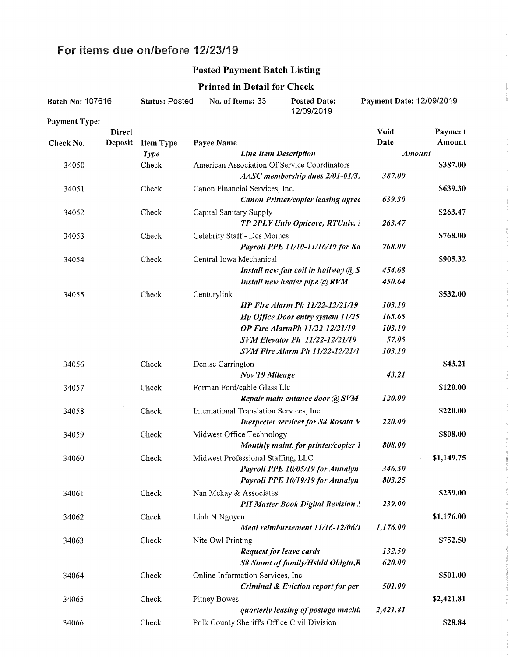# For items due on/before 12/23/19

### Posted Payment Batch Listing

#### Printed in Detail for Check

| Batch No: 107616     |               | <b>Status: Posted</b><br>No. of Items: 33 |                                    | <b>Posted Date:</b><br>12/09/2019                                               | Payment Date: 12/09/2019 |            |
|----------------------|---------------|-------------------------------------------|------------------------------------|---------------------------------------------------------------------------------|--------------------------|------------|
| <b>Payment Type:</b> |               |                                           |                                    |                                                                                 |                          |            |
|                      | <b>Direct</b> |                                           |                                    |                                                                                 | Void                     | Payment    |
| Check No.            | Deposit       | <b>Item Type</b>                          | Payee Name                         |                                                                                 | Date                     | Amount     |
|                      |               | <b>Type</b>                               |                                    | <b>Line Item Description</b>                                                    | <b>Amount</b>            |            |
| 34050                |               | Check                                     |                                    | American Association Of Service Coordinators<br>AASC membership dues 2/01-01/3. | 387.00                   | \$387.00   |
| 34051                |               | Check                                     | Canon Financial Services, Inc.     | Canon Printer/copier leasing agree                                              | 639.30                   | \$639.30   |
| 34052                |               | Check                                     | Capital Sanitary Supply            | TP 2PLY Univ Opticore, RTUniv. i                                                | 263.47                   | \$263.47   |
| 34053                |               | Check                                     | Celebrity Staff - Des Moines       |                                                                                 |                          | \$768.00   |
|                      |               |                                           |                                    | Payroll PPE 11/10-11/16/19 for Ka                                               | 768.00                   |            |
| 34054                |               | Check                                     | Central Iowa Mechanical            |                                                                                 |                          | \$905.32   |
|                      |               |                                           |                                    | Install new fan coil in hallway $@S$                                            | 454.68                   |            |
|                      |               |                                           |                                    | Install new heater pipe $\mathcal Q$ , RVM                                      | 450.64                   |            |
| 34055                |               | Check                                     | Centurylink                        |                                                                                 |                          | \$532.00   |
|                      |               |                                           |                                    | <b>HP Fire Alarm Ph 11/22-12/21/19</b>                                          | 103.10                   |            |
|                      |               |                                           |                                    | Hp Office Door entry system 11/25                                               | 165.65                   |            |
|                      |               |                                           |                                    | <b>OP Fire AlarmPh 11/22-12/21/19</b>                                           | 103.10                   |            |
|                      |               |                                           |                                    | <b>SVM Elevator Ph 11/22-12/21/19</b>                                           | 57.05                    |            |
|                      |               |                                           |                                    | <b>SVM Fire Alarm Ph 11/22-12/21/1</b>                                          | 103.10                   |            |
| 34056                |               | Check                                     | Denise Carrington                  |                                                                                 |                          | \$43.21    |
|                      |               |                                           |                                    | Nov'19 Mileage                                                                  | 43.21                    |            |
| 34057                |               | Check                                     | Forman Ford/cable Glass Llc        |                                                                                 |                          | \$120.00   |
|                      |               |                                           |                                    | Repair main entance door @ SVM                                                  | 120.00                   |            |
| 34058                |               | Check                                     |                                    | International Translation Services, Inc.                                        |                          | \$220.00   |
|                      |               |                                           |                                    | Inerpreter services for S8 Rosata N.                                            | 220.00                   |            |
| 34059                |               | Check                                     | Midwest Office Technology          |                                                                                 |                          | \$808.00   |
|                      |               |                                           |                                    | Monthly maint. for printer/copier 1                                             | 808.00                   |            |
| 34060                |               | Check                                     | Midwest Professional Staffing, LLC |                                                                                 |                          | \$1,149.75 |
|                      |               |                                           |                                    | Payroll PPE 10/05/19 for Annalyn                                                | 346.50                   |            |
|                      |               |                                           |                                    | Payroll PPE 10/19/19 for Annalyn                                                | 803.25                   |            |
| 34061                |               | Check                                     | Nan Mckay & Associates             |                                                                                 |                          | \$239.00   |
|                      |               |                                           |                                    | <b>PH Master Book Digital Revision !</b>                                        | 239.00                   |            |
| 34062                |               | Check                                     | Linh N Nguyen                      |                                                                                 |                          | \$1,176.00 |
|                      |               |                                           |                                    | Meal reimbursement 11/16-12/06/1                                                | 1,176.00                 |            |
| 34063                |               | Check                                     | Nite Owl Printing                  |                                                                                 |                          | \$752.50   |
|                      |               |                                           |                                    | <b>Request for leave cards</b>                                                  | 132.50                   |            |
|                      |               |                                           |                                    | S8 Stmnt of family/Hshld Oblgtn, R                                              | 620.00                   |            |
| 34064                |               | Check                                     | Online Information Services, Inc.  |                                                                                 |                          | \$501.00   |
|                      |               |                                           |                                    | Criminal & Eviction report for per                                              | 501.00                   |            |
| 34065                |               | Check                                     | Pitney Bowes                       |                                                                                 |                          | \$2,421.81 |
|                      |               |                                           |                                    | quarterly leasing of postage machia                                             | 2,421.81                 |            |
| 34066                |               | Check                                     |                                    | Polk County Sheriff's Office Civil Division                                     |                          | \$28.84    |